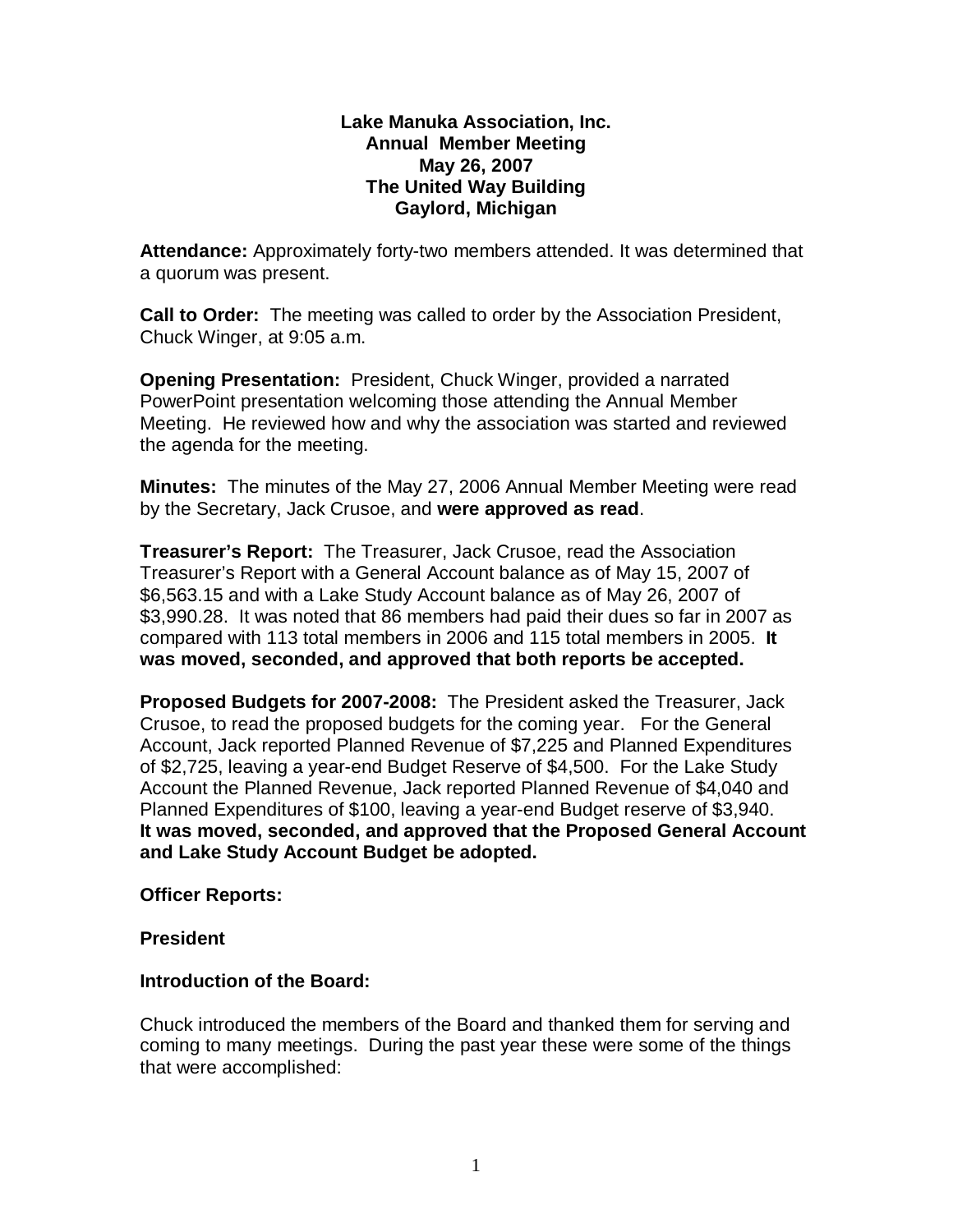#### **Lake Manuka Association, Inc. Annual Member Meeting May 26, 2007 The United Way Building Gaylord, Michigan**

**Attendance:** Approximately forty-two members attended. It was determined that a quorum was present.

**Call to Order:** The meeting was called to order by the Association President, Chuck Winger, at 9:05 a.m.

**Opening Presentation:** President, Chuck Winger, provided a narrated PowerPoint presentation welcoming those attending the Annual Member Meeting. He reviewed how and why the association was started and reviewed the agenda for the meeting.

**Minutes:** The minutes of the May 27, 2006 Annual Member Meeting were read by the Secretary, Jack Crusoe, and **were approved as read**.

**Treasurer's Report:** The Treasurer, Jack Crusoe, read the Association Treasurer's Report with a General Account balance as of May 15, 2007 of \$6,563.15 and with a Lake Study Account balance as of May 26, 2007 of \$3,990.28. It was noted that 86 members had paid their dues so far in 2007 as compared with 113 total members in 2006 and 115 total members in 2005. **It was moved, seconded, and approved that both reports be accepted.**

**Proposed Budgets for 2007-2008:** The President asked the Treasurer, Jack Crusoe, to read the proposed budgets for the coming year. For the General Account, Jack reported Planned Revenue of \$7,225 and Planned Expenditures of \$2,725, leaving a year-end Budget Reserve of \$4,500. For the Lake Study Account the Planned Revenue, Jack reported Planned Revenue of \$4,040 and Planned Expenditures of \$100, leaving a year-end Budget reserve of \$3,940. **It was moved, seconded, and approved that the Proposed General Account and Lake Study Account Budget be adopted.**

#### **Officer Reports:**

#### **President**

# **Introduction of the Board:**

Chuck introduced the members of the Board and thanked them for serving and coming to many meetings. During the past year these were some of the things that were accomplished: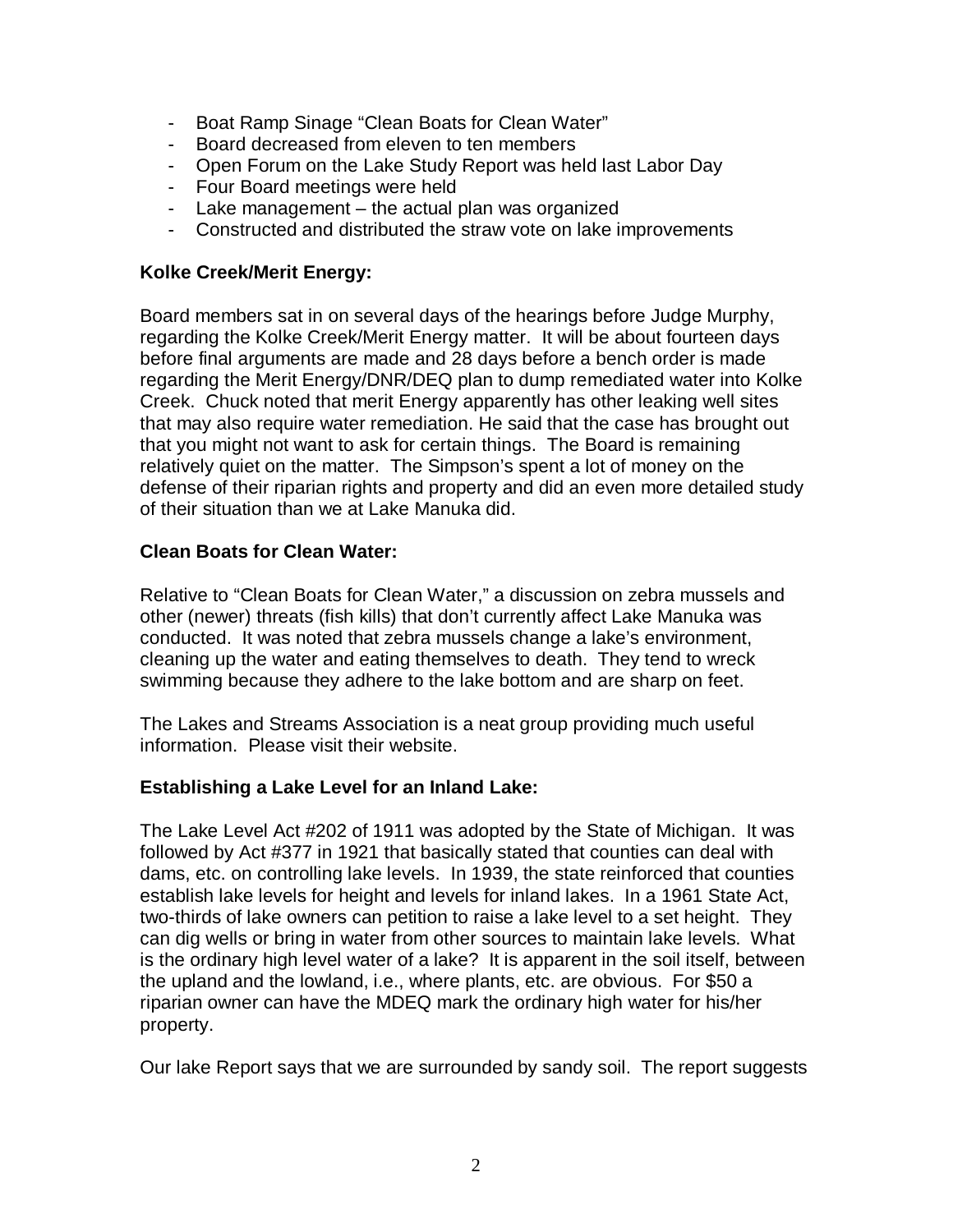- Boat Ramp Sinage "Clean Boats for Clean Water"
- Board decreased from eleven to ten members
- Open Forum on the Lake Study Report was held last Labor Day
- Four Board meetings were held
- Lake management the actual plan was organized
- Constructed and distributed the straw vote on lake improvements

### **Kolke Creek/Merit Energy:**

Board members sat in on several days of the hearings before Judge Murphy, regarding the Kolke Creek/Merit Energy matter. It will be about fourteen days before final arguments are made and 28 days before a bench order is made regarding the Merit Energy/DNR/DEQ plan to dump remediated water into Kolke Creek. Chuck noted that merit Energy apparently has other leaking well sites that may also require water remediation. He said that the case has brought out that you might not want to ask for certain things. The Board is remaining relatively quiet on the matter. The Simpson's spent a lot of money on the defense of their riparian rights and property and did an even more detailed study of their situation than we at Lake Manuka did.

### **Clean Boats for Clean Water:**

Relative to "Clean Boats for Clean Water," a discussion on zebra mussels and other (newer) threats (fish kills) that don't currently affect Lake Manuka was conducted. It was noted that zebra mussels change a lake's environment, cleaning up the water and eating themselves to death. They tend to wreck swimming because they adhere to the lake bottom and are sharp on feet.

The Lakes and Streams Association is a neat group providing much useful information. Please visit their website.

# **Establishing a Lake Level for an Inland Lake:**

The Lake Level Act #202 of 1911 was adopted by the State of Michigan. It was followed by Act #377 in 1921 that basically stated that counties can deal with dams, etc. on controlling lake levels. In 1939, the state reinforced that counties establish lake levels for height and levels for inland lakes. In a 1961 State Act, two-thirds of lake owners can petition to raise a lake level to a set height. They can dig wells or bring in water from other sources to maintain lake levels. What is the ordinary high level water of a lake? It is apparent in the soil itself, between the upland and the lowland, i.e., where plants, etc. are obvious. For \$50 a riparian owner can have the MDEQ mark the ordinary high water for his/her property.

Our lake Report says that we are surrounded by sandy soil. The report suggests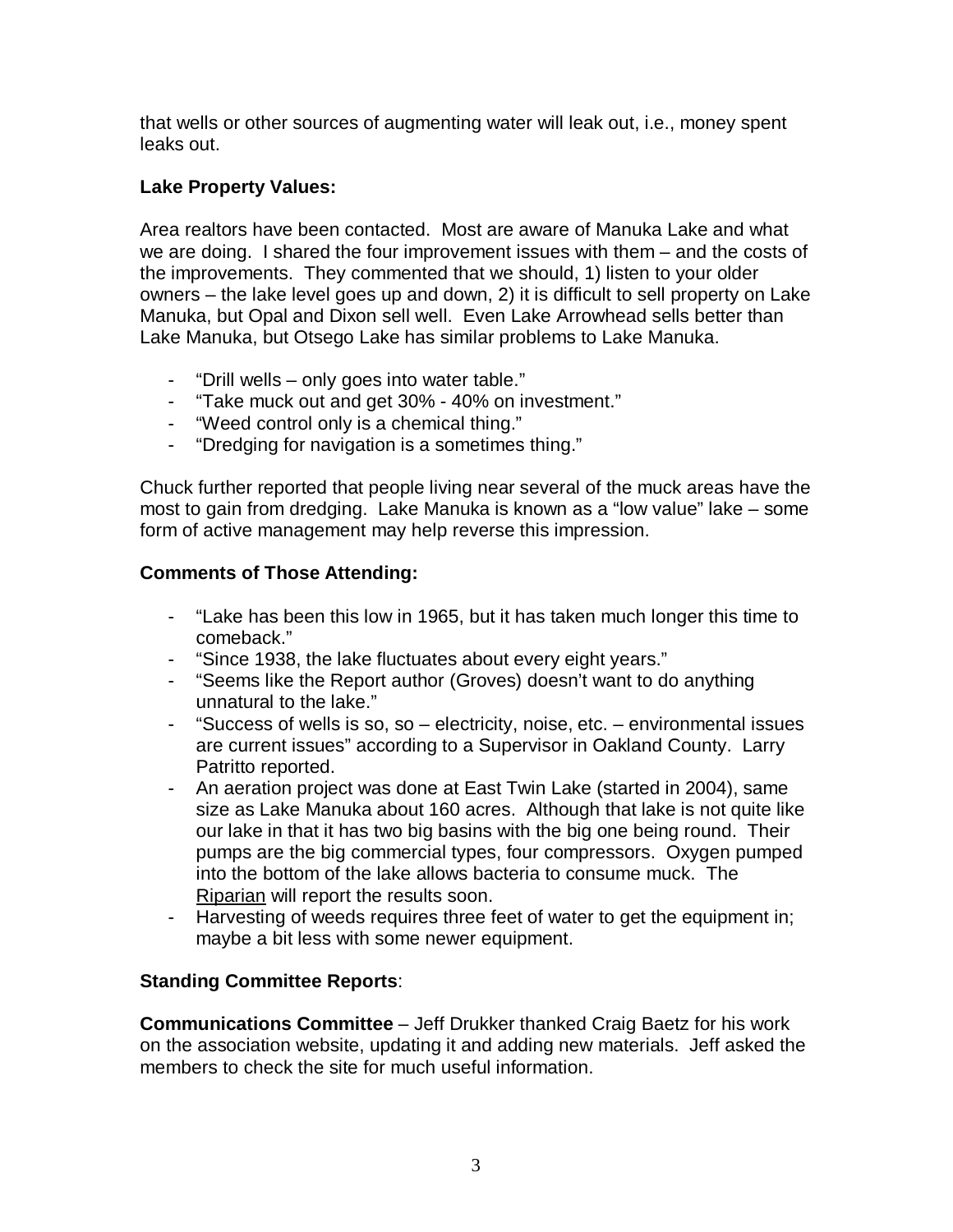that wells or other sources of augmenting water will leak out, i.e., money spent leaks out.

# **Lake Property Values:**

Area realtors have been contacted. Most are aware of Manuka Lake and what we are doing. I shared the four improvement issues with them – and the costs of the improvements. They commented that we should, 1) listen to your older owners – the lake level goes up and down, 2) it is difficult to sell property on Lake Manuka, but Opal and Dixon sell well. Even Lake Arrowhead sells better than Lake Manuka, but Otsego Lake has similar problems to Lake Manuka.

- "Drill wells only goes into water table."
- "Take muck out and get 30% 40% on investment."
- "Weed control only is a chemical thing."
- "Dredging for navigation is a sometimes thing."

Chuck further reported that people living near several of the muck areas have the most to gain from dredging. Lake Manuka is known as a "low value" lake – some form of active management may help reverse this impression.

# **Comments of Those Attending:**

- "Lake has been this low in 1965, but it has taken much longer this time to comeback."
- "Since 1938, the lake fluctuates about every eight years."
- "Seems like the Report author (Groves) doesn't want to do anything unnatural to the lake."
- "Success of wells is so, so electricity, noise, etc. environmental issues are current issues" according to a Supervisor in Oakland County. Larry Patritto reported.
- An aeration project was done at East Twin Lake (started in 2004), same size as Lake Manuka about 160 acres. Although that lake is not quite like our lake in that it has two big basins with the big one being round. Their pumps are the big commercial types, four compressors. Oxygen pumped into the bottom of the lake allows bacteria to consume muck. The Riparian will report the results soon.
- Harvesting of weeds requires three feet of water to get the equipment in; maybe a bit less with some newer equipment.

# **Standing Committee Reports**:

**Communications Committee** – Jeff Drukker thanked Craig Baetz for his work on the association website, updating it and adding new materials. Jeff asked the members to check the site for much useful information.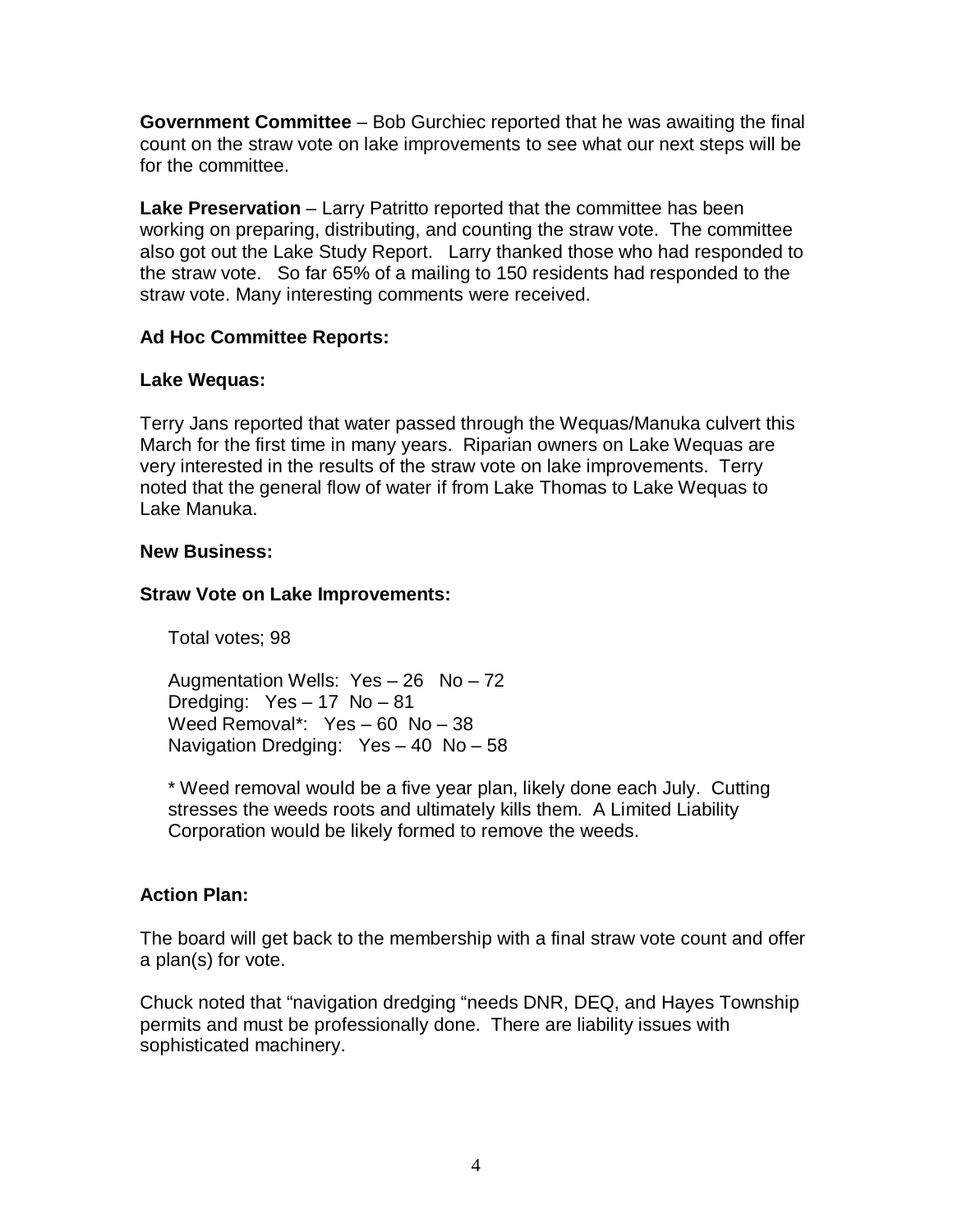**Government Committee** – Bob Gurchiec reported that he was awaiting the final count on the straw vote on lake improvements to see what our next steps will be for the committee.

**Lake Preservation** – Larry Patritto reported that the committee has been working on preparing, distributing, and counting the straw vote. The committee also got out the Lake Study Report. Larry thanked those who had responded to the straw vote. So far 65% of a mailing to 150 residents had responded to the straw vote. Many interesting comments were received.

# **Ad Hoc Committee Reports:**

### **Lake Wequas:**

Terry Jans reported that water passed through the Wequas/Manuka culvert this March for the first time in many years. Riparian owners on Lake Wequas are very interested in the results of the straw vote on lake improvements. Terry noted that the general flow of water if from Lake Thomas to Lake Wequas to Lake Manuka.

### **New Business:**

### **Straw Vote on Lake Improvements:**

Total votes; 98

Augmentation Wells: Yes – 26 No – 72 Dredging: Yes – 17 No – 81 Weed Removal\*: Yes – 60 No – 38 Navigation Dredging: Yes – 40 No – 58

\* Weed removal would be a five year plan, likely done each July. Cutting stresses the weeds roots and ultimately kills them. A Limited Liability Corporation would be likely formed to remove the weeds.

# **Action Plan:**

The board will get back to the membership with a final straw vote count and offer a plan(s) for vote.

Chuck noted that "navigation dredging "needs DNR, DEQ, and Hayes Township permits and must be professionally done. There are liability issues with sophisticated machinery.